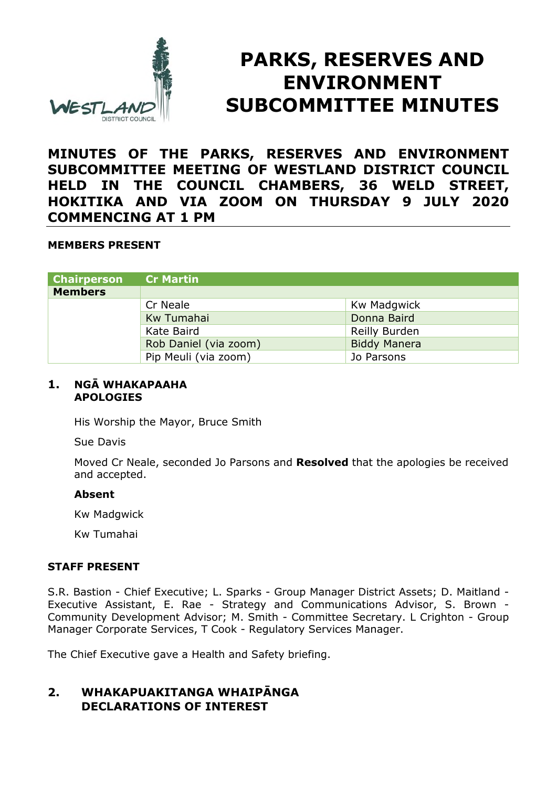

# **PARKS, RESERVES AND ENVIRONMENT SUBCOMMITTEE MINUTES**

**MINUTES OF THE PARKS, RESERVES AND ENVIRONMENT SUBCOMMITTEE MEETING OF WESTLAND DISTRICT COUNCIL HELD IN THE COUNCIL CHAMBERS, 36 WELD STREET, HOKITIKA AND VIA ZOOM ON THURSDAY 9 JULY 2020 COMMENCING AT 1 PM** 

## **MEMBERS PRESENT**

| <b>Chairperson</b> | <b>Cr Martin</b>      |                     |
|--------------------|-----------------------|---------------------|
| <b>Members</b>     |                       |                     |
|                    | Cr Neale              | Kw Madgwick         |
|                    | Kw Tumahai            | Donna Baird         |
|                    | Kate Baird            | Reilly Burden       |
|                    | Rob Daniel (via zoom) | <b>Biddy Manera</b> |
|                    | Pip Meuli (via zoom)  | Jo Parsons          |

#### **1. NGĀ WHAKAPAAHA APOLOGIES**

His Worship the Mayor, Bruce Smith

Sue Davis

Moved Cr Neale, seconded Jo Parsons and **Resolved** that the apologies be received and accepted.

#### **Absent**

Kw Madgwick

Kw Tumahai

## **STAFF PRESENT**

S.R. Bastion - Chief Executive; L. Sparks - Group Manager District Assets; D. Maitland - Executive Assistant, E. Rae - Strategy and Communications Advisor, S. Brown - Community Development Advisor; M. Smith - Committee Secretary. L Crighton - Group Manager Corporate Services, T Cook - Regulatory Services Manager.

The Chief Executive gave a Health and Safety briefing.

# **2. WHAKAPUAKITANGA WHAIPĀNGA DECLARATIONS OF INTEREST**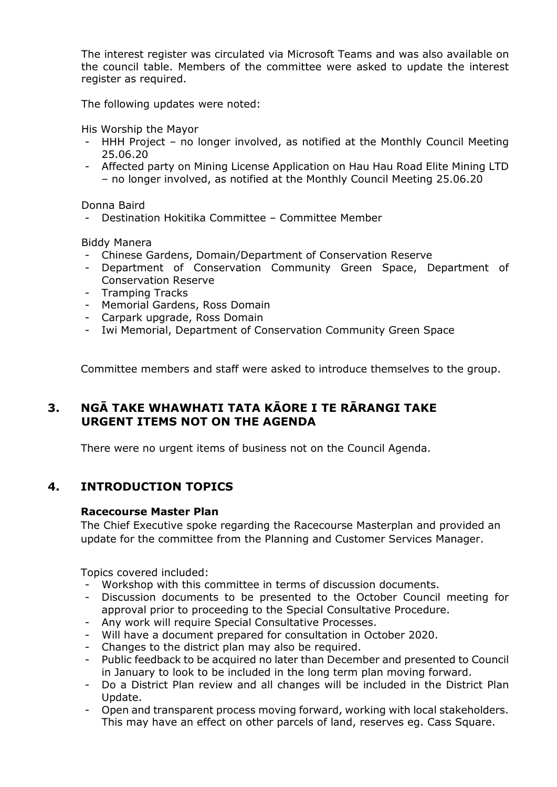The interest register was circulated via Microsoft Teams and was also available on the council table. Members of the committee were asked to update the interest register as required.

The following updates were noted:

His Worship the Mayor

- HHH Project no longer involved, as notified at the Monthly Council Meeting 25.06.20
- Affected party on Mining License Application on Hau Hau Road Elite Mining LTD – no longer involved, as notified at the Monthly Council Meeting 25.06.20

Donna Baird

- Destination Hokitika Committee – Committee Member

Biddy Manera

- Chinese Gardens, Domain/Department of Conservation Reserve
- Department of Conservation Community Green Space, Department of Conservation Reserve
- Tramping Tracks
- Memorial Gardens, Ross Domain
- Carpark upgrade, Ross Domain
- Iwi Memorial, Department of Conservation Community Green Space

Committee members and staff were asked to introduce themselves to the group.

# **3. NGĀ TAKE WHAWHATI TATA KĀORE I TE RĀRANGI TAKE URGENT ITEMS NOT ON THE AGENDA**

There were no urgent items of business not on the Council Agenda.

# **4. INTRODUCTION TOPICS**

#### **Racecourse Master Plan**

The Chief Executive spoke regarding the Racecourse Masterplan and provided an update for the committee from the Planning and Customer Services Manager.

Topics covered included:

- Workshop with this committee in terms of discussion documents.
- Discussion documents to be presented to the October Council meeting for approval prior to proceeding to the Special Consultative Procedure.
- Any work will require Special Consultative Processes.
- Will have a document prepared for consultation in October 2020.
- Changes to the district plan may also be required.
- Public feedback to be acquired no later than December and presented to Council in January to look to be included in the long term plan moving forward.
- Do a District Plan review and all changes will be included in the District Plan Update.
- Open and transparent process moving forward, working with local stakeholders. This may have an effect on other parcels of land, reserves eg. Cass Square.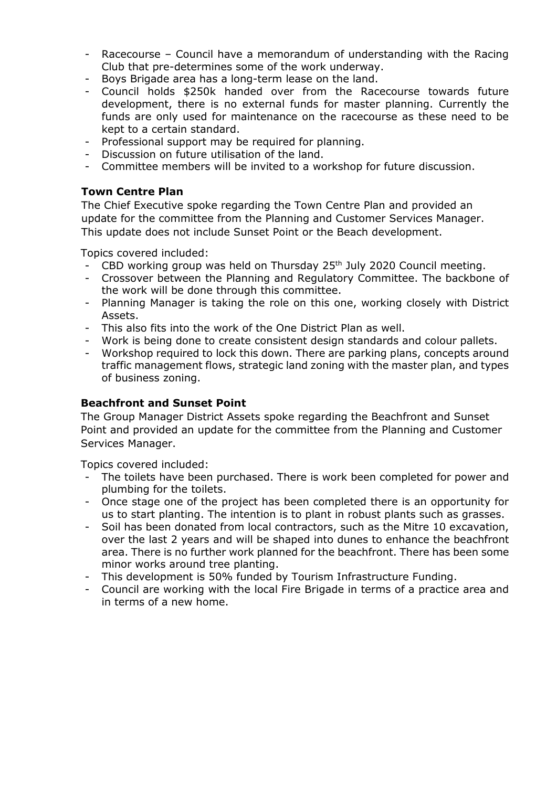- Racecourse Council have a memorandum of understanding with the Racing Club that pre-determines some of the work underway.
- Boys Brigade area has a long-term lease on the land.
- Council holds \$250k handed over from the Racecourse towards future development, there is no external funds for master planning. Currently the funds are only used for maintenance on the racecourse as these need to be kept to a certain standard.
- Professional support may be required for planning.
- Discussion on future utilisation of the land.
- Committee members will be invited to a workshop for future discussion.

## **Town Centre Plan**

The Chief Executive spoke regarding the Town Centre Plan and provided an update for the committee from the Planning and Customer Services Manager. This update does not include Sunset Point or the Beach development.

Topics covered included:

- CBD working group was held on Thursday 25<sup>th</sup> July 2020 Council meeting.
- Crossover between the Planning and Regulatory Committee. The backbone of the work will be done through this committee.
- Planning Manager is taking the role on this one, working closely with District Assets.
- This also fits into the work of the One District Plan as well.
- Work is being done to create consistent design standards and colour pallets.
- Workshop required to lock this down. There are parking plans, concepts around traffic management flows, strategic land zoning with the master plan, and types of business zoning.

# **Beachfront and Sunset Point**

The Group Manager District Assets spoke regarding the Beachfront and Sunset Point and provided an update for the committee from the Planning and Customer Services Manager.

Topics covered included:

- The toilets have been purchased. There is work been completed for power and plumbing for the toilets.
- Once stage one of the project has been completed there is an opportunity for us to start planting. The intention is to plant in robust plants such as grasses.
- Soil has been donated from local contractors, such as the Mitre 10 excavation, over the last 2 years and will be shaped into dunes to enhance the beachfront area. There is no further work planned for the beachfront. There has been some minor works around tree planting.
- This development is 50% funded by Tourism Infrastructure Funding.
- Council are working with the local Fire Brigade in terms of a practice area and in terms of a new home.